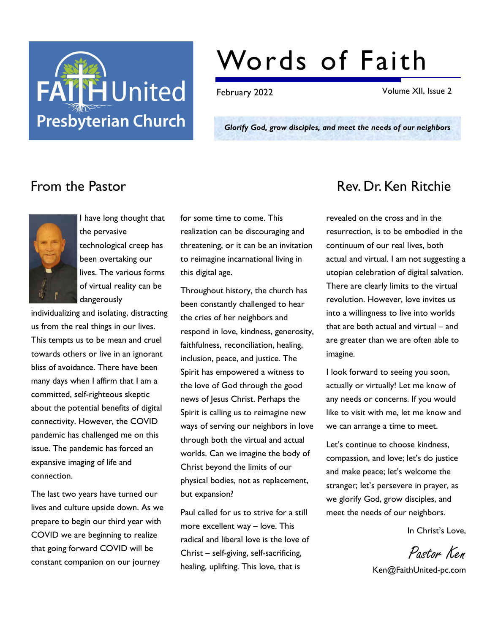

# Words of Faith

February 2022 Volume XII, Issue 2

Glorify God, grow disciples, and meet the needs of our neighbors



I have long thought that the pervasive technological creep has been overtaking our lives. The various forms of virtual reality can be dangerously

individualizing and isolating, distracting us from the real things in our lives. This tempts us to be mean and cruel towards others or live in an ignorant bliss of avoidance. There have been many days when I affirm that I am a committed, self-righteous skeptic about the potential benefits of digital connectivity. However, the COVID pandemic has challenged me on this issue. The pandemic has forced an expansive imaging of life and connection.

The last two years have turned our lives and culture upside down. As we prepare to begin our third year with COVID we are beginning to realize that going forward COVID will be constant companion on our journey

for some time to come. This realization can be discouraging and threatening, or it can be an invitation to reimagine incarnational living in this digital age.

Throughout history, the church has been constantly challenged to hear the cries of her neighbors and respond in love, kindness, generosity, faithfulness, reconciliation, healing, inclusion, peace, and justice. The Spirit has empowered a witness to the love of God through the good news of Jesus Christ. Perhaps the Spirit is calling us to reimagine new ways of serving our neighbors in love through both the virtual and actual worlds. Can we imagine the body of Christ beyond the limits of our physical bodies, not as replacement, but expansion?

Paul called for us to strive for a still more excellent way – love. This radical and liberal love is the love of Christ – self-giving, self-sacrificing, healing, uplifting. This love, that is

# From the Pastor **Rev. Dr. Ken Ritchie**

revealed on the cross and in the resurrection, is to be embodied in the continuum of our real lives, both actual and virtual. I am not suggesting a utopian celebration of digital salvation. There are clearly limits to the virtual revolution. However, love invites us into a willingness to live into worlds that are both actual and virtual – and are greater than we are often able to imagine.

I look forward to seeing you soon, actually or virtually! Let me know of any needs or concerns. If you would like to visit with me, let me know and we can arrange a time to meet.

Let's continue to choose kindness, compassion, and love; let's do justice and make peace; let's welcome the stranger; let's persevere in prayer, as we glorify God, grow disciples, and meet the needs of our neighbors.

In Christ's Love,

Pastor Ken Ken@FaithUnited-pc.com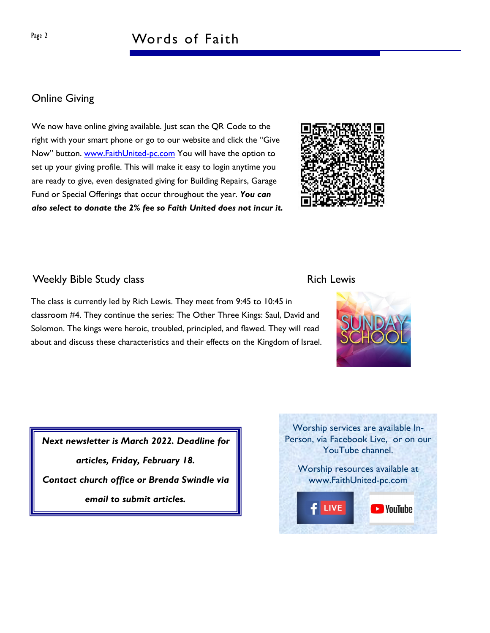# Online Giving

We now have online giving available. Just scan the QR Code to the right with your smart phone or go to our website and click the "Give Now" button. www.FaithUnited-pc.com You will have the option to set up your giving profile. This will make it easy to login anytime you are ready to give, even designated giving for Building Repairs, Garage Fund or Special Offerings that occur throughout the year. You can also select to donate the 2% fee so Faith United does not incur it.



# Weekly Bible Study class **Rich Lewis** Rich Lewis

The class is currently led by Rich Lewis. They meet from 9:45 to 10:45 in classroom #4. They continue the series: The Other Three Kings: Saul, David and Solomon. The kings were heroic, troubled, principled, and flawed. They will read about and discuss these characteristics and their effects on the Kingdom of Israel.

Next newsletter is March 2022. Deadline for articles, Friday, February 18. Contact church office or Brenda Swindle via email to submit articles.



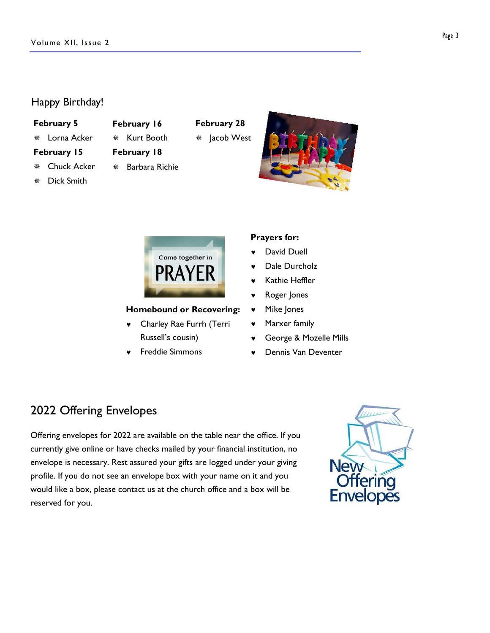# Happy Birthday!

### February 5

\* Lorna Acker

### February 15

- \* Chuck Acker
- ¯ Dick Smith
- ¯ Kurt Booth February 18

February 16

## $*$  Barbara Richie





## Homebound or Recovering:

- © Charley Rae Furrh (Terri Russell's cousin)
- © Freddie Simmons

# Prayers for:

- David Duell
- Dale Durcholz
- Kathie Heffler
- **v** Roger Jones
- © Mike Jones
- Marxer family
- © George & Mozelle Mills
- © Dennis Van Deventer

# 2022 Offering Envelopes

Offering envelopes for 2022 are available on the table near the office. If you currently give online or have checks mailed by your financial institution, no envelope is necessary. Rest assured your gifts are logged under your giving profile. If you do not see an envelope box with your name on it and you would like a box, please contact us at the church office and a box will be reserved for you.